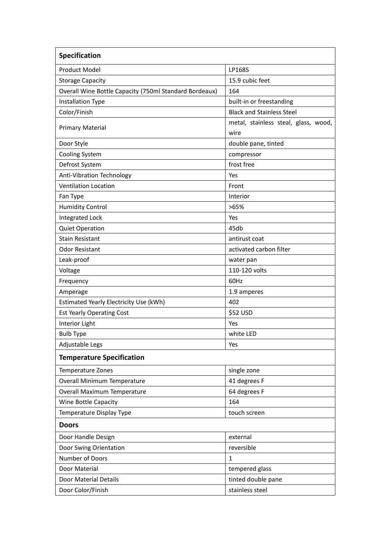| Specification                                          |                                              |
|--------------------------------------------------------|----------------------------------------------|
| <b>Product Model</b>                                   | LP168S                                       |
| <b>Storage Capacity</b>                                | 15.9 cubic feet                              |
| Overall Wine Bottle Capacity (750ml Standard Bordeaux) | 164                                          |
| <b>Installation Type</b>                               | built-in or freestanding                     |
| Color/Finish                                           | <b>Black and Stainless Steel</b>             |
| <b>Primary Material</b>                                | metal, stainless steal, glass, wood,<br>wire |
| Door Style                                             | double pane, tinted                          |
| <b>Cooling System</b>                                  | compressor                                   |
| Defrost System                                         | frost free                                   |
| Anti-Vibration Technology                              | Yes                                          |
| <b>Ventilation Location</b>                            | Front                                        |
| Fan Type                                               | Interior                                     |
| <b>Humidity Control</b>                                | >65%                                         |
| <b>Integrated Lock</b>                                 | Yes                                          |
| <b>Quiet Operation</b>                                 | 45db                                         |
| <b>Stain Resistant</b>                                 | antirust coat                                |
| <b>Odor Resistant</b>                                  | activated carbon filter                      |
| Leak-proof                                             | water pan                                    |
| Voltage                                                | 110-120 volts                                |
| Frequency                                              | 60Hz                                         |
| Amperage                                               | 1.9 amperes                                  |
| Estimated Yearly Electricity Use (kWh)                 | 402                                          |
| <b>Est Yearly Operating Cost</b>                       | \$52 USD                                     |
| Interior Light                                         | Yes                                          |
| <b>Bulb Type</b>                                       | white LED                                    |
| Adjustable Legs                                        | Yes                                          |
| <b>Temperature Specification</b>                       |                                              |
| Temperature Zones                                      | single zone                                  |
| <b>Overall Minimum Temperature</b>                     | 41 degrees F                                 |
| Overall Maximum Temperature                            | 64 degrees F                                 |
| Wine Bottle Capacity                                   | 164                                          |
| Temperature Display Type                               | touch screen                                 |
| <b>Doors</b>                                           |                                              |
| Door Handle Design                                     | external                                     |
| Door Swing Orientation                                 | reversible                                   |
| Number of Doors                                        | 1                                            |
| Door Material                                          | tempered glass                               |
| Door Material Details                                  | tinted double pane                           |
| Door Color/Finish                                      | stainless steel                              |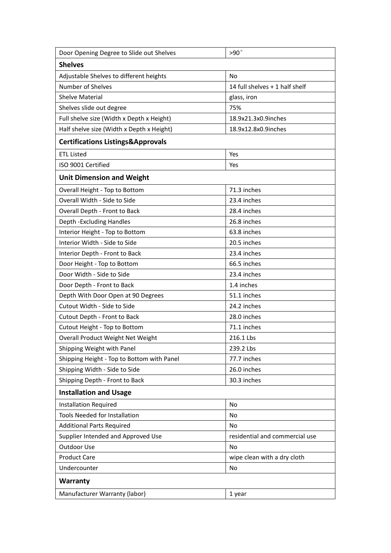| No<br>14 full shelves + 1 half shelf<br>glass, iron<br>75%<br>18.9x21.3x0.9inches<br>18.9x12.8x0.9inches<br>Yes<br>Yes<br>71.3 inches<br>23.4 inches<br>28.4 inches<br>26.8 inches<br>63.8 inches<br>20.5 inches<br>23.4 inches<br>66.5 inches<br>23.4 inches<br>1.4 inches<br>51.1 inches<br>24.2 inches<br>28.0 inches<br>71.1 inches<br>216.1 Lbs<br>239.2 Lbs<br>77.7 inches<br>26.0 inches<br>30.3 inches<br>No<br>No<br>No<br>residential and commercial use<br>No<br>wipe clean with a dry cloth<br>No<br>1 year | Door Opening Degree to Slide out Shelves     | $>90^\circ$ |  |  |
|-------------------------------------------------------------------------------------------------------------------------------------------------------------------------------------------------------------------------------------------------------------------------------------------------------------------------------------------------------------------------------------------------------------------------------------------------------------------------------------------------------------------------|----------------------------------------------|-------------|--|--|
|                                                                                                                                                                                                                                                                                                                                                                                                                                                                                                                         | <b>Shelves</b>                               |             |  |  |
|                                                                                                                                                                                                                                                                                                                                                                                                                                                                                                                         | Adjustable Shelves to different heights      |             |  |  |
|                                                                                                                                                                                                                                                                                                                                                                                                                                                                                                                         | Number of Shelves                            |             |  |  |
|                                                                                                                                                                                                                                                                                                                                                                                                                                                                                                                         | Shelve Material                              |             |  |  |
|                                                                                                                                                                                                                                                                                                                                                                                                                                                                                                                         | Shelves slide out degree                     |             |  |  |
|                                                                                                                                                                                                                                                                                                                                                                                                                                                                                                                         | Full shelve size (Width x Depth x Height)    |             |  |  |
|                                                                                                                                                                                                                                                                                                                                                                                                                                                                                                                         | Half shelve size (Width x Depth x Height)    |             |  |  |
|                                                                                                                                                                                                                                                                                                                                                                                                                                                                                                                         | <b>Certifications Listings&amp;Approvals</b> |             |  |  |
|                                                                                                                                                                                                                                                                                                                                                                                                                                                                                                                         | <b>ETL Listed</b>                            |             |  |  |
|                                                                                                                                                                                                                                                                                                                                                                                                                                                                                                                         | ISO 9001 Certified                           |             |  |  |
|                                                                                                                                                                                                                                                                                                                                                                                                                                                                                                                         | <b>Unit Dimension and Weight</b>             |             |  |  |
|                                                                                                                                                                                                                                                                                                                                                                                                                                                                                                                         | Overall Height - Top to Bottom               |             |  |  |
|                                                                                                                                                                                                                                                                                                                                                                                                                                                                                                                         | Overall Width - Side to Side                 |             |  |  |
|                                                                                                                                                                                                                                                                                                                                                                                                                                                                                                                         | Overall Depth - Front to Back                |             |  |  |
|                                                                                                                                                                                                                                                                                                                                                                                                                                                                                                                         | Depth - Excluding Handles                    |             |  |  |
|                                                                                                                                                                                                                                                                                                                                                                                                                                                                                                                         | Interior Height - Top to Bottom              |             |  |  |
|                                                                                                                                                                                                                                                                                                                                                                                                                                                                                                                         | Interior Width - Side to Side                |             |  |  |
|                                                                                                                                                                                                                                                                                                                                                                                                                                                                                                                         | Interior Depth - Front to Back               |             |  |  |
|                                                                                                                                                                                                                                                                                                                                                                                                                                                                                                                         | Door Height - Top to Bottom                  |             |  |  |
|                                                                                                                                                                                                                                                                                                                                                                                                                                                                                                                         | Door Width - Side to Side                    |             |  |  |
|                                                                                                                                                                                                                                                                                                                                                                                                                                                                                                                         | Door Depth - Front to Back                   |             |  |  |
|                                                                                                                                                                                                                                                                                                                                                                                                                                                                                                                         | Depth With Door Open at 90 Degrees           |             |  |  |
|                                                                                                                                                                                                                                                                                                                                                                                                                                                                                                                         | Cutout Width - Side to Side                  |             |  |  |
|                                                                                                                                                                                                                                                                                                                                                                                                                                                                                                                         | Cutout Depth - Front to Back                 |             |  |  |
|                                                                                                                                                                                                                                                                                                                                                                                                                                                                                                                         | Cutout Height - Top to Bottom                |             |  |  |
|                                                                                                                                                                                                                                                                                                                                                                                                                                                                                                                         | Overall Product Weight Net Weight            |             |  |  |
|                                                                                                                                                                                                                                                                                                                                                                                                                                                                                                                         | Shipping Weight with Panel                   |             |  |  |
|                                                                                                                                                                                                                                                                                                                                                                                                                                                                                                                         | Shipping Height - Top to Bottom with Panel   |             |  |  |
|                                                                                                                                                                                                                                                                                                                                                                                                                                                                                                                         | Shipping Width - Side to Side                |             |  |  |
|                                                                                                                                                                                                                                                                                                                                                                                                                                                                                                                         | Shipping Depth - Front to Back               |             |  |  |
|                                                                                                                                                                                                                                                                                                                                                                                                                                                                                                                         | <b>Installation and Usage</b>                |             |  |  |
|                                                                                                                                                                                                                                                                                                                                                                                                                                                                                                                         | <b>Installation Required</b>                 |             |  |  |
|                                                                                                                                                                                                                                                                                                                                                                                                                                                                                                                         | Tools Needed for Installation                |             |  |  |
|                                                                                                                                                                                                                                                                                                                                                                                                                                                                                                                         | <b>Additional Parts Required</b>             |             |  |  |
|                                                                                                                                                                                                                                                                                                                                                                                                                                                                                                                         | Supplier Intended and Approved Use           |             |  |  |
|                                                                                                                                                                                                                                                                                                                                                                                                                                                                                                                         | Outdoor Use                                  |             |  |  |
|                                                                                                                                                                                                                                                                                                                                                                                                                                                                                                                         | <b>Product Care</b>                          |             |  |  |
|                                                                                                                                                                                                                                                                                                                                                                                                                                                                                                                         | Undercounter                                 |             |  |  |
|                                                                                                                                                                                                                                                                                                                                                                                                                                                                                                                         | <b>Warranty</b>                              |             |  |  |
|                                                                                                                                                                                                                                                                                                                                                                                                                                                                                                                         | Manufacturer Warranty (labor)                |             |  |  |